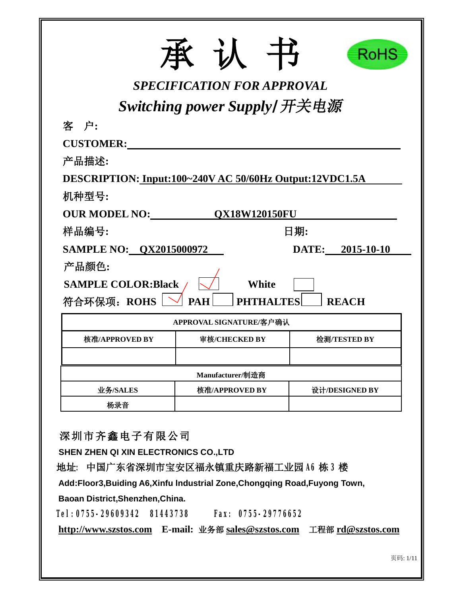|                                                         | SPECIFICATION FOR APPROVAL | RoHS             |  |  |  |  |  |
|---------------------------------------------------------|----------------------------|------------------|--|--|--|--|--|
| Switching power Supply/开关电源                             |                            |                  |  |  |  |  |  |
| 客 户:                                                    |                            |                  |  |  |  |  |  |
| <b>CUSTOMER:</b>                                        |                            |                  |  |  |  |  |  |
| 产品描述:                                                   |                            |                  |  |  |  |  |  |
| DESCRIPTION: Input:100~240V AC 50/60Hz Output:12VDC1.5A |                            |                  |  |  |  |  |  |
| 机种型号:                                                   |                            |                  |  |  |  |  |  |
| <b>OUR MODEL NO:</b>                                    | <b>OX18W120150FU</b>       |                  |  |  |  |  |  |
| 样品编号:                                                   |                            | 日期:              |  |  |  |  |  |
| <b>SAMPLE NO: 0X2015000972</b>                          |                            | DATE: 2015-10-10 |  |  |  |  |  |
| 产品颜色:                                                   |                            |                  |  |  |  |  |  |
| <b>SAMPLE COLOR:Black</b>                               | White                      |                  |  |  |  |  |  |
| 符合环保项: ROHS                                             | <b>PAH</b><br>'HALTES      | <b>REACH</b>     |  |  |  |  |  |
|                                                         | APPROVAL SIGNATURE/客户确认    |                  |  |  |  |  |  |
| 核准/APPROVED BY                                          | 审核/CHECKED BY              | 检测/TESTED BY     |  |  |  |  |  |
|                                                         |                            |                  |  |  |  |  |  |
| Manufacturer/制造商                                        |                            |                  |  |  |  |  |  |
| 业务/SALES                                                | 核准/APPROVED BY             | 设计/DESIGNED BY   |  |  |  |  |  |
| 杨录音                                                     |                            |                  |  |  |  |  |  |

**深圳市齐鑫电子有限公司**

**SHEN ZHEN QI XIN ELECTRONICS CO.,LTD** 

**地址: 中国广东省深圳市宝安区福永镇重庆路新福工业园 A6 栋 3 楼** 

**Add:Floor3,Buiding A6,Xinfu lndustrial Zone,Chongqing Road,Fuyong Town,** 

**Baoan District,Shenzhen,China.** 

**Tel:0755-29609342 81443738 Fax: 0755-29776652** 

**<http://www.szstos.com> E-mail: 业务部 [sales@szstos.com](mailto:sales@szstos.com) 工程部 [rd@szstos.com](mailto:rd@szstos.com)**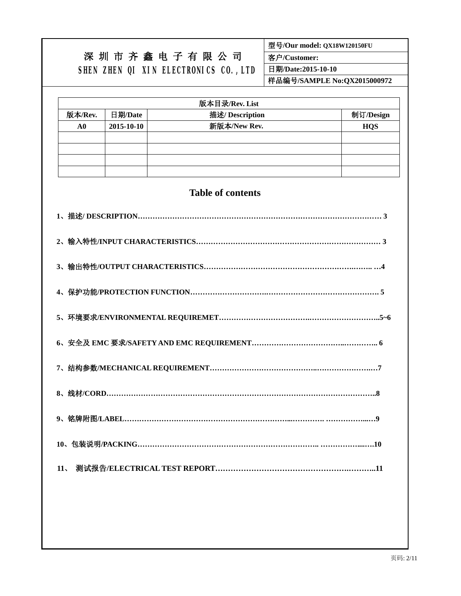### **型号/Our model: QX18W120150FU**

# **深 圳 市 齐 鑫 电 子 有 限 公 司 SHEN ZHEN QI XIN ELECTRONICS CO.,LTD**

**客户/Customer:** 

**日期/Date:2015-10-10** 

**样品编号/SAMPLE No:QX2015000972** 

| 版本目录/Rev. List |                            |              |            |  |  |  |
|----------------|----------------------------|--------------|------------|--|--|--|
| 版本/Rev.        | 描述/ Description<br>日期/Date |              |            |  |  |  |
| A0             | 2015-10-10                 | 新版本/New Rev. | <b>HQS</b> |  |  |  |
|                |                            |              |            |  |  |  |
|                |                            |              |            |  |  |  |
|                |                            |              |            |  |  |  |
|                |                            |              |            |  |  |  |

### **Table of contents**

| 11 <sub>1</sub> |
|-----------------|
|                 |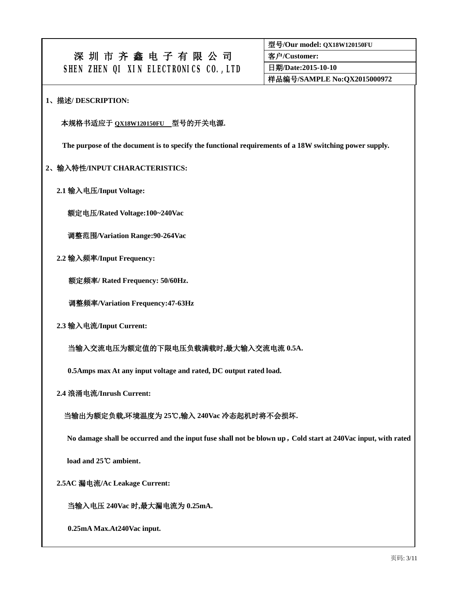**型号/Our model: QX18W120150FU**

**客户/Customer:** 

**日期/Date:2015-10-10** 

**样品编号/SAMPLE No:QX2015000972** 

#### **1、描述/ DESCRIPTION:**

### **本规格书适应于 QX18W120150FU 型号的开关电源.**

**The purpose of the document is to specify the functional requirements of a 18W switching power supply.** 

#### **2、输入特性/INPUT CHARACTERISTICS:**

 **2.1 输入电压/Input Voltage:** 

**额定电压/Rated Voltage:100~240Vac** 

**调整范围/Variation Range:90-264Vac** 

 **2.2 输入频率/Input Frequency:** 

**额定频率/ Rated Frequency: 50/60Hz.** 

**调整频率/Variation Frequency:47-63Hz** 

 **2.3 输入电流/Input Current:** 

 **当输入交流电压为额定值的下限电压负载满载时,最大输入交流电流 0.5A.** 

**0.5Amps max At any input voltage and rated, DC output rated load.** 

 **2.4 浪涌电流/Inrush Current:** 

#### **当输出为额定负载,环境温度为 25℃,输入 240Vac 冷态起机时将不会损坏.**

**No damage shall be occurred and the input fuse shall not be blown up,Cold start at 240Vac input, with rated** 

**load and 25℃ ambient.** 

 **2.5AC 漏电流/Ac Leakage Current:** 

**当输入电压 240Vac 时,最大漏电流为 0.25mA.** 

**0.25mA Max.At240Vac input.**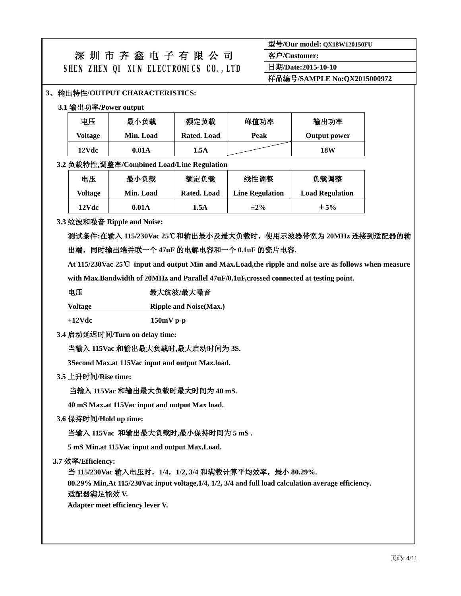| 型号/Our model: QX18W120150FU |  |
|-----------------------------|--|
| 客户/Customer:                |  |
| 日期/Date:2015-10-10          |  |
| 样品编号/SAMPLE No:QX2015000972 |  |

### **3、输出特性/OUTPUT CHARACTERISTICS:**

#### **3.1 输出功率/Power output**

| 电压      | 最小负载      | 额定负载        | 峰值功率 | 输出功率         |
|---------|-----------|-------------|------|--------------|
| Voltage | Min. Load | Rated. Load | Peak | Output power |
| 12Vdc   | 0.01A     | 1.5A        |      | 18W          |

#### **3.2 负载特性,调整率/Combined Load/Line Regulation**

| 电压      | 最小负载      | 额定负载        | 线性调整                   | 负载调整                   |  |  |
|---------|-----------|-------------|------------------------|------------------------|--|--|
| Voltage | Min. Load | Rated. Load | <b>Line Regulation</b> | <b>Load Regulation</b> |  |  |
| 12Vdc   | 0.01A     | 1.5A        | $\pm 2\%$              | $\pm$ 5%               |  |  |

#### **3.3 纹波和噪音 Ripple and Noise:**

**测试条件:在输入 115/230Vac 25℃和输出最小及最大负载时,使用示波器带宽为 20MHz 连接到适配器的输 出端,同时输出端并联一个 47uF 的电解电容和一个 0.1uF 的瓷片电容.** 

At 115/230Vac 25°C input and output Min and Max.Load, the ripple and noise are as follows when measure

**with Max.Bandwidth of 20MHz and Parallel 47uF/0.1uF,crossed connected at testing point.** 

### **电压 最大纹波/最大噪音**

**Voltage Ripple and Noise(Max.)**

**+12Vdc 150mV p-p** 

**3.4 启动延迟时间/Turn on delay time:** 

#### **当输入 115Vac 和输出最大负载时,最大启动时间为 3S.**

 **3Second Max.at 115Vac input and output Max.load.** 

#### **3.5 上升时间/Rise time:**

#### **当输入 115Vac 和输出最大负载时最大时间为 40 mS.**

 **40 mS Max.at 115Vac input and output Max load.** 

**3.6 保持时间/Hold up time:** 

 **当输入 115Vac 和输出最大负载时,最小保持时间为 5 mS .** 

 **5 mS Min.at 115Vac input and output Max.Load.** 

#### **3.7 效率/Efficiency:**

 **当 115/230Vac 输入电压时,1/4,1/2, 3/4 和满载计算平均效率,最小 80.29%.** 

 **80.29% Min,At 115/230Vac input voltage,1/4, 1/2, 3/4 and full load calculation average efficiency.** 

#### **适配器满足能效 V.**

 **Adapter meet efficiency lever V.**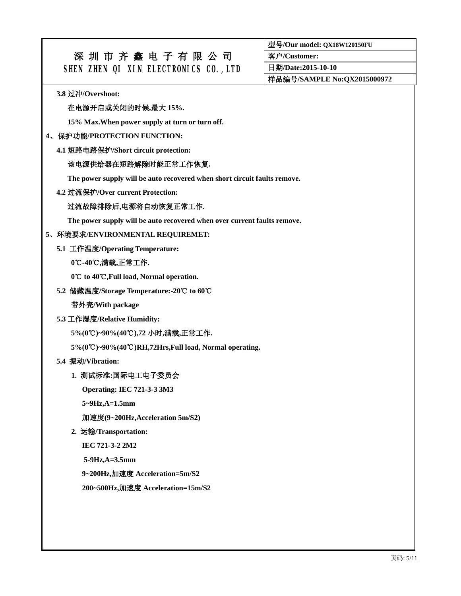**型号/Our model: QX18W120150FU**

**客户/Customer:** 

**日期/Date:2015-10-10** 

**样品编号/SAMPLE No:QX2015000972** 

**3.8 过冲/Overshoot:** 

#### **在电源开启或关闭的时候,最大 15%.**

**15% Max.When power supply at turn or turn off.** 

#### **4、保护功能/PROTECTION FUNCTION:**

**4.1 短路电路保护/Short circuit protection:** 

#### **该电源供给器在短路解除时能正常工作恢复.**

**The power supply will be auto recovered when short circuit faults remove.** 

**4.2 过流保护/Over current Protection:** 

#### **过流故障排除后,电源将自动恢复正常工作.**

**The power supply will be auto recovered when over current faults remove.** 

#### **5、环境要求/ENVIRONMENTAL REQUIREMET:**

**5.1 工作温度/Operating Temperature:** 

#### **0℃-40 , ℃ 满载,正常工作.**

**0℃ ℃ to 40 ,Full load, Normal operation.**

**5.2 储藏温度/Storage Temperature:-20℃ to 60℃**

**带外壳/With package** 

**5.3 工作湿度/Relative Humidity:** 

**5%(0℃ ℃ )~90%(40 ),72 小时,满载,正常工作.** 

**5%(0℃ ℃ )~90%(40 )RH,72Hrs,Full load, Normal operating.**

**5.4 振动/Vibration:** 

#### **1. 测试标准:国际电工电子委员会**

**Operating: IEC 721-3-3 3M3** 

**5~9Hz,A=1.5mm** 

**加速度(9~200Hz,Acceleration 5m/S2)** 

**2. 运输/Transportation:** 

**IEC 721-3-2 2M2** 

**5-9Hz,A=3.5mm** 

**9~200Hz,加速度 Acceleration=5m/S2** 

**200~500Hz,加速度 Acceleration=15m/S2**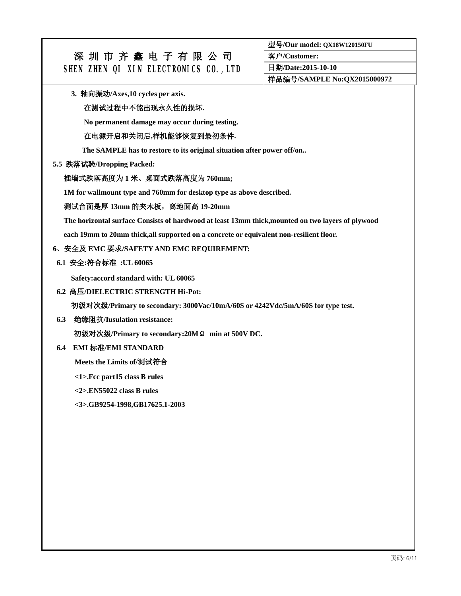**型号/Our model: QX18W120150FU**

**客户/Customer:** 

**日期/Date:2015-10-10** 

**样品编号/SAMPLE No:QX2015000972** 

**3. 轴向振动/Axes,10 cycles per axis.** 

#### **在测试过程中不能出现永久性的损坏.**

**No permanent damage may occur during testing.** 

#### **在电源开启和关闭后,样机能够恢复到最初条件.**

**The SAMPLE has to restore to its original situation after power off/on..** 

#### **5.5 跌落试验/Dropping Packed:**

#### **插墙式跌落高度为 1 米、桌面式跌落高度为 760mm;**

**1M for wallmount type and 760mm for desktop type as above described.** 

#### **测试台面是厚 13mm 的夹木板,离地面高 19-20mm**

**The horizontal surface Consists of hardwood at least 13mm thick,mounted on two layers of plywood** 

**each 19mm to 20mm thick,all supported on a concrete or equivalent non-resilient floor.** 

#### **6、安全及 EMC 要求/SAFETY AND EMC REQUIREMENT:**

#### **6.1 安全:符合标准 :UL 60065**

**Safety:accord standard with: UL 60065** 

#### **6.2 高压/DIELECTRIC STRENGTH Hi-Pot:**

**初级对次级/Primary to secondary: 3000Vac/10mA/60S or 4242Vdc/5mA/60S for type test.** 

**6.3 绝缘阻抗/Iusulation resistance:** 

**初级对次级/Primary to secondary:20MΩ min at 500V DC.** 

#### **6.4 EMI 标准/EMI STANDARD**

**Meets the Limits of/测试符合**

**<1>.Fcc part15 class B rules** 

**<2>.EN55022 class B rules** 

**<3>.GB9254-1998,GB17625.1-2003**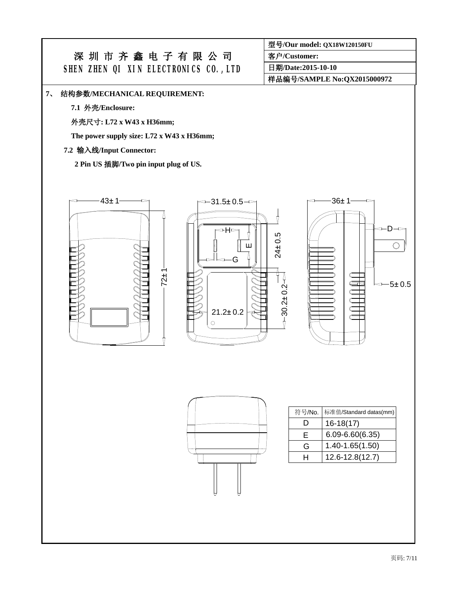#### **7、 结构参数/MECHANICAL REQUIREMENT:**

**7.1 外壳/Enclosure:** 

**外壳尺寸: L72 x W43 x H36mm;** 

**The power supply size: L72 x W43 x H36mm;** 

### **7.2 输入线/Input Connector:**

**2 Pin US 插脚/Two pin input plug of US.** 



**客户/Customer:** 

**日期/Date:2015-10-10** 

**样品编号/SAMPLE No:QX2015000972** 

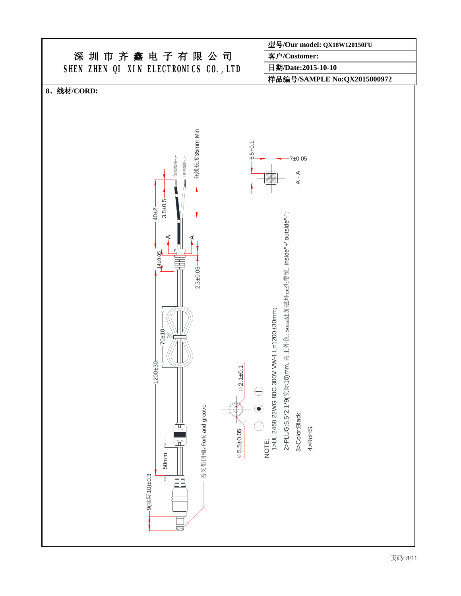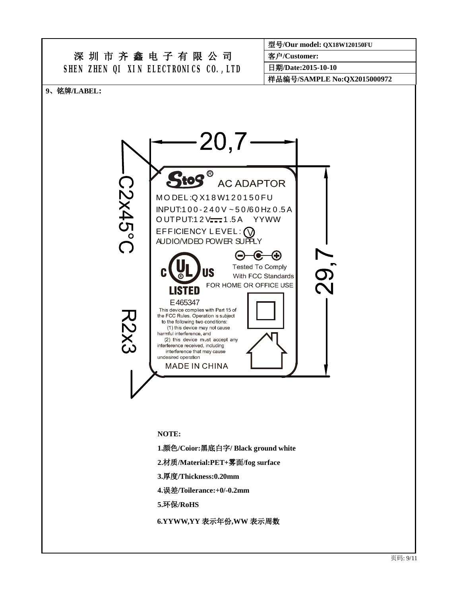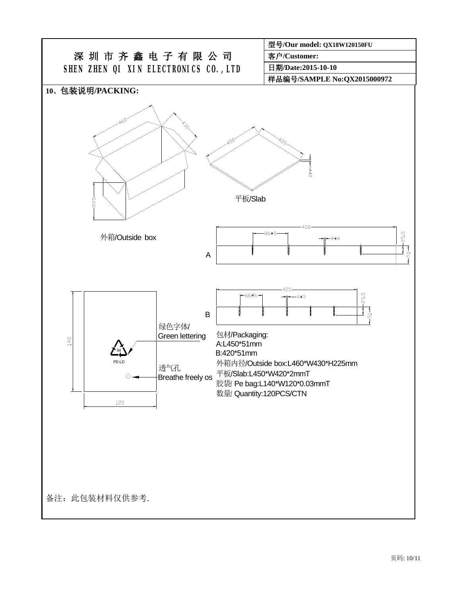